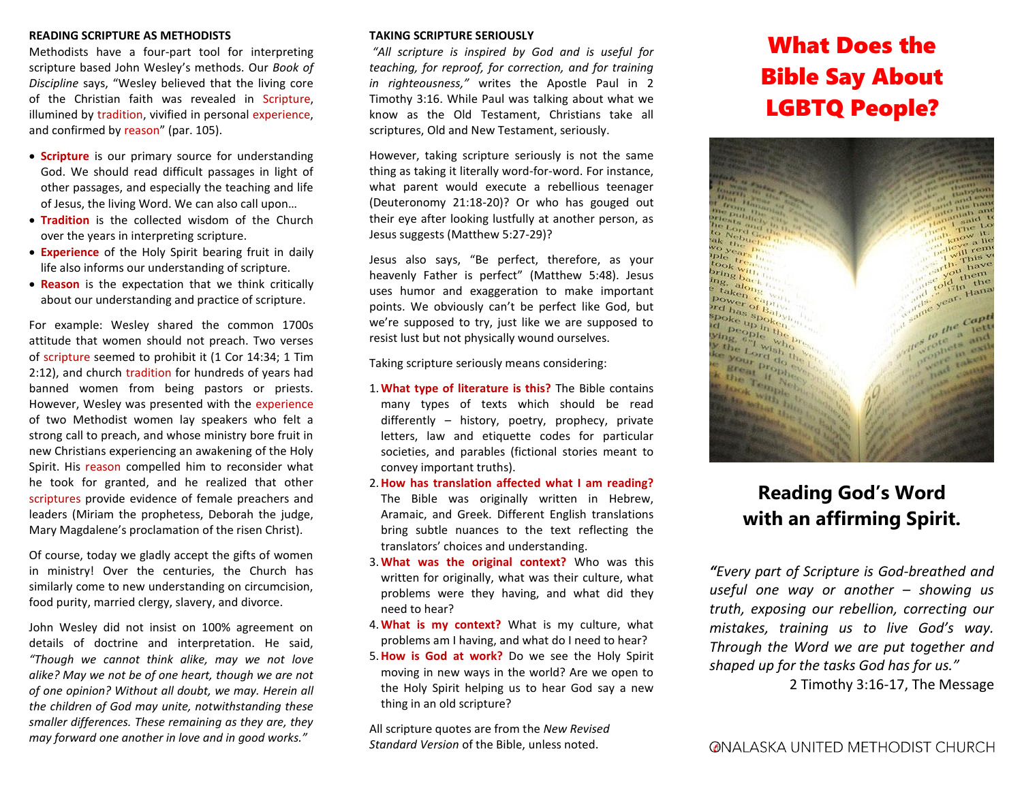# **READING SCRIPTURE AS METHODISTS**

Methodists have a four-part tool for interpreting scripture based John Wesley's methods. Our *Book of Discipline* says, "Wesley believed that the living core of the Christian faith was revealed in Scripture, illumined by tradition, vivified in personal experience, and confirmed by reason" (par. 105).

- **Scripture** is our primary source for understanding God. We should read difficult passages in light of other passages, and especially the teaching and life of Jesus, the living Word. We can also call upon…
- **Tradition** is the collected wisdom of the Church over the years in interpreting scripture.
- **Experience** of the Holy Spirit bearing fruit in daily life also informs our understanding of scripture.
- **Reason** is the expectation that we think critically about our understanding and practice of scripture.

For example: Wesley shared the common 1700s attitude that women should not preach. Two verses of scripture seemed to prohibit it (1 Cor 14:34; 1 Tim 2:12), and church tradition for hundreds of years had banned women from being pastors or priests. However, Wesley was presented with the experience of two Methodist women lay speakers who felt a strong call to preach, and whose ministry bore fruit in new Christians experiencing an awakening of the Holy Spirit. His reason compelled him to reconsider what he took for granted, and he realized that other scriptures provide evidence of female preachers and leaders (Miriam the prophetess, Deborah the judge, Mary Magdalene's proclamation of the risen Christ).

Of course, today we gladly accept the gifts of women in ministry! Over the centuries, the Church has similarly come to new understanding on circumcision, food purity, married clergy, slavery, and divorce.

John Wesley did not insist on 100% agreement on details of doctrine and interpretation. He said, *"Though we cannot think alike, may we not love alike? May we not be of one heart, though we are not of one opinion? Without all doubt, we may. Herein all the children of God may unite, notwithstanding these smaller differences. These remaining as they are, they may forward one another in love and in good works."*

# **TAKING SCRIPTURE SERIOUSLY**

*"All scripture is inspired by God and is useful for teaching, for reproof, for correction, and for training in righteousness,"* writes the Apostle Paul in 2 Timothy 3:16. While Paul was talking about what we know as the Old Testament, Christians take all scriptures, Old and New Testament, seriously.

However, taking scripture seriously is not the same thing as taking it literally word-for-word. For instance, what parent would execute a rebellious teenager (Deuteronomy 21:18-20)? Or who has gouged out their eye after looking lustfully at another person, as Jesus suggests (Matthew 5:27-29)?

Jesus also says, "Be perfect, therefore, as your heavenly Father is perfect" (Matthew 5:48). Jesus uses humor and exaggeration to make important points. We obviously can't be perfect like God, but we're supposed to try, just like we are supposed to resist lust but not physically wound ourselves.

Taking scripture seriously means considering:

- 1.**What type of literature is this?** The Bible contains many types of texts which should be read differently – history, poetry, prophecy, private letters, law and etiquette codes for particular societies, and parables (fictional stories meant to convey important truths).
- 2.**How has translation affected what I am reading?** The Bible was originally written in Hebrew, Aramaic, and Greek. Different English translations bring subtle nuances to the text reflecting the translators' choices and understanding.
- 3.**What was the original context?** Who was this written for originally, what was their culture, what problems were they having, and what did they need to hear?
- 4.**What is my context?** What is my culture, what problems am I having, and what do I need to hear?
- 5.**How is God at work?** Do we see the Holy Spirit moving in new ways in the world? Are we open to the Holy Spirit helping us to hear God say a new thing in an old scripture?

All scripture quotes are from the *New Revised Standard Version* of the Bible, unless noted.

# What Does the Bible Say About LGBTQ People?



# **Reading God's Word with an affirming Spirit.**

*"Every part of Scripture is God-breathed and useful one way or another – showing us truth, exposing our rebellion, correcting our mistakes, training us to live God's way. Through the Word we are put together and shaped up for the tasks God has for us."* 

2 Timothy 3:16-17, The Message

**@NALASKA UNITED METHODIST CHURCH**